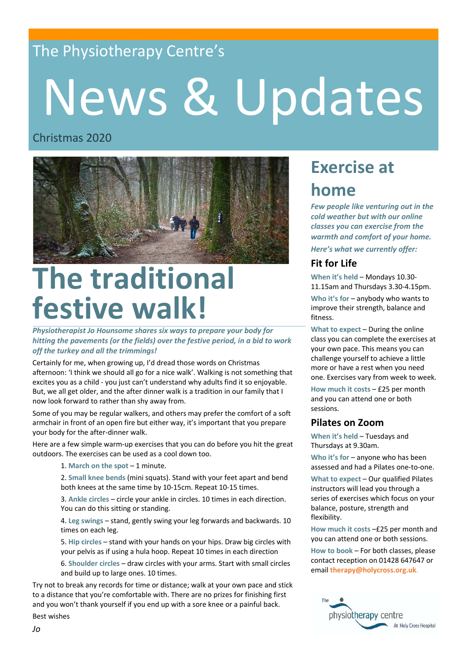## The Physiotherapy Centre's

# News & Updates

#### Christmas 2020



## **The traditional festive walk!**

*Physiotherapist Jo Hounsome shares six ways to prepare your body for hitting the pavements (or the fields) over the festive period, in a bid to work off the turkey and all the trimmings!*

Certainly for me, when growing up, I'd dread those words on Christmas afternoon: 'I think we should all go for a nice walk'. Walking is not something that excites you as a child - you just can't understand why adults find it so enjoyable. But, we all get older, and the after dinner walk is a tradition in our family that I now look forward to rather than shy away from.

Some of you may be regular walkers, and others may prefer the comfort of a soft armchair in front of an open fire but either way, it's important that you prepare your body for the after-dinner walk.

Here are a few simple warm-up exercises that you can do before you hit the great outdoors. The exercises can be used as a cool down too.

1. **March on the spot** – 1 minute.

2. **Small knee bends** (mini squats). Stand with your feet apart and bend both knees at the same time by 10-15cm. Repeat 10-15 times.

3. **Ankle circles** – circle your ankle in circles. 10 times in each direction. You can do this sitting or standing.

4. **Leg swings** – stand, gently swing your leg forwards and backwards. 10 times on each leg.

5. **Hip circles** – stand with your hands on your hips. Draw big circles with your pelvis as if using a hula hoop. Repeat 10 times in each direction

6. **Shoulder circles** – draw circles with your arms. Start with small circles and build up to large ones. 10 times.

Try not to break any records for time or distance; walk at your own pace and stick to a distance that you're comfortable with. There are no prizes for finishing first and you won't thank yourself if you end up with a sore knee or a painful back. Best wishes

## **Exercise at home**

*Few people like venturing out in the cold weather but with our online classes you can exercise from the warmth and comfort of your home.* 

*Here's what we currently offer:*

#### **Fit for Life**

**When it's held** – Mondays 10.30- 11.15am and Thursdays 3.30-4.15pm. **Who it's for** – anybody who wants to

improve their strength, balance and fitness.

**What to expect** – During the online class you can complete the exercises at your own pace. This means you can challenge yourself to achieve a little more or have a rest when you need one. Exercises vary from week to week.

**How much it costs** – £25 per month and you can attend one or both sessions.

#### **Pilates on Zoom**

**When it's held** – Tuesdays and Thursdays at 9.30am.

**Who it's for** – anyone who has been assessed and had a Pilates one-to-one.

**What to expect** – Our qualified Pilates instructors will lead you through a series of exercises which focus on your balance, posture, strength and flexibility.

**How much it costs** –£25 per month and you can attend one or both sessions.

**How to book** – For both classes, please contact reception on 01428 647647 or email **therapy@holycross.org.uk**.